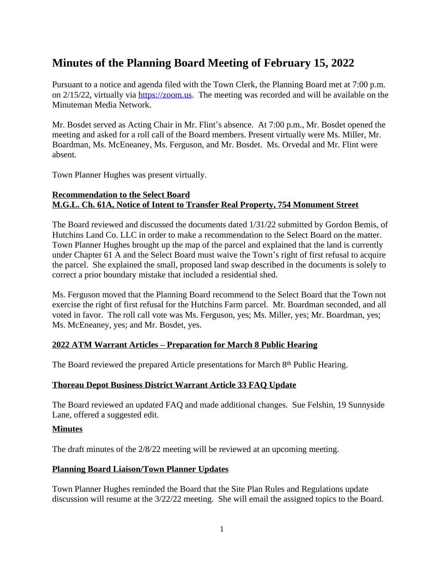# **Minutes of the Planning Board Meeting of February 15, 2022**

Pursuant to a notice and agenda filed with the Town Clerk, the Planning Board met at 7:00 p.m. on 2/15/22, virtually via [https://zoom.us.](https://zoom.us) The meeting was recorded and will be available on the Minuteman Media Network.

Mr. Bosdet served as Acting Chair in Mr. Flint's absence. At 7:00 p.m., Mr. Bosdet opened the meeting and asked for a roll call of the Board members. Present virtually were Ms. Miller, Mr. Boardman, Ms. McEneaney, Ms. Ferguson, and Mr. Bosdet. Ms. Orvedal and Mr. Flint were absent.

Town Planner Hughes was present virtually.

### **Recommendation to the Select Board M.G.L. Ch. 61A, Notice of Intent to Transfer Real Property, 754 Monument Street**

The Board reviewed and discussed the documents dated 1/31/22 submitted by Gordon Bemis, of Hutchins Land Co. LLC in order to make a recommendation to the Select Board on the matter. Town Planner Hughes brought up the map of the parcel and explained that the land is currently under Chapter 61 A and the Select Board must waive the Town's right of first refusal to acquire the parcel. She explained the small, proposed land swap described in the documents is solely to correct a prior boundary mistake that included a residential shed.

Ms. Ferguson moved that the Planning Board recommend to the Select Board that the Town not exercise the right of first refusal for the Hutchins Farm parcel. Mr. Boardman seconded, and all voted in favor. The roll call vote was Ms. Ferguson, yes; Ms. Miller, yes; Mr. Boardman, yes; Ms. McEneaney, yes; and Mr. Bosdet, yes.

## **2022 ATM Warrant Articles – Preparation for March 8 Public Hearing**

The Board reviewed the prepared Article presentations for March 8th Public Hearing.

#### **Thoreau Depot Business District Warrant Article 33 FAQ Update**

The Board reviewed an updated FAQ and made additional changes. Sue Felshin, 19 Sunnyside Lane, offered a suggested edit.

#### **Minutes**

The draft minutes of the 2/8/22 meeting will be reviewed at an upcoming meeting.

#### **Planning Board Liaison/Town Planner Updates**

Town Planner Hughes reminded the Board that the Site Plan Rules and Regulations update discussion will resume at the 3/22/22 meeting. She will email the assigned topics to the Board.